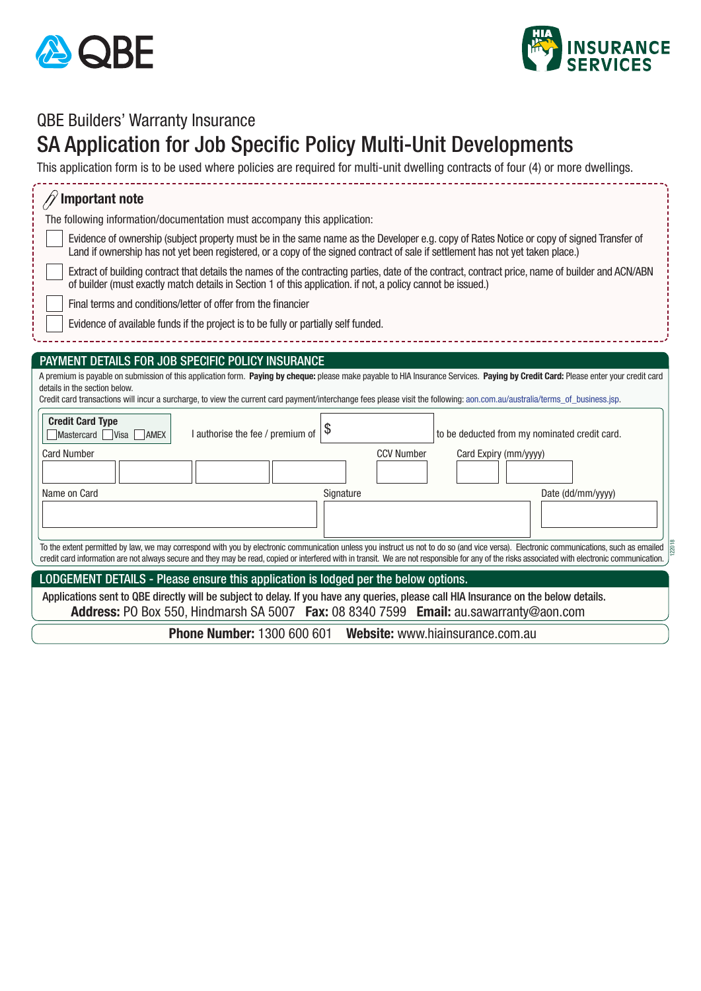



## QBE Builders' Warranty Insurance

## SA Application for Job Specific Policy Multi-Unit Developments

This application form is to be used where policies are required for multi-unit dwelling contracts of four (4) or more dwellings.

| <b>Important note</b>                                                                                                                                                                                                                                                                                                                                                                             |  |  |  |  |
|---------------------------------------------------------------------------------------------------------------------------------------------------------------------------------------------------------------------------------------------------------------------------------------------------------------------------------------------------------------------------------------------------|--|--|--|--|
| The following information/documentation must accompany this application:                                                                                                                                                                                                                                                                                                                          |  |  |  |  |
| Evidence of ownership (subject property must be in the same name as the Developer e.g. copy of Rates Notice or copy of signed Transfer of<br>Land if ownership has not yet been registered, or a copy of the signed contract of sale if settlement has not yet taken place.)                                                                                                                      |  |  |  |  |
| Extract of building contract that details the names of the contracting parties, date of the contract, contract price, name of builder and ACN/ABN<br>of builder (must exactly match details in Section 1 of this application. if not, a policy cannot be issued.)                                                                                                                                 |  |  |  |  |
| Final terms and conditions/letter of offer from the financier                                                                                                                                                                                                                                                                                                                                     |  |  |  |  |
| Evidence of available funds if the project is to be fully or partially self funded.                                                                                                                                                                                                                                                                                                               |  |  |  |  |
|                                                                                                                                                                                                                                                                                                                                                                                                   |  |  |  |  |
| PAYMENT DETAILS FOR JOB SPECIFIC POLICY INSURANCE                                                                                                                                                                                                                                                                                                                                                 |  |  |  |  |
| A premium is payable on submission of this application form. Paying by cheque: please make payable to HIA Insurance Services. Paying by Credit Card: Please enter your credit card<br>details in the section below.<br>Credit card transactions will incur a surcharge, to view the current card payment/interchange fees please visit the following: aon.com.au/australia/terms_of_business.jsp. |  |  |  |  |
| <b>Credit Card Type</b><br>\$<br>I authorise the fee / premium of<br>to be deducted from my nominated credit card.<br>Mastercard Visa AMEX                                                                                                                                                                                                                                                        |  |  |  |  |
| <b>Card Number</b><br><b>CCV Number</b><br>Card Expiry (mm/yyyy)                                                                                                                                                                                                                                                                                                                                  |  |  |  |  |
| Name on Card<br>Signature<br>Date (dd/mm/yyyy)                                                                                                                                                                                                                                                                                                                                                    |  |  |  |  |
|                                                                                                                                                                                                                                                                                                                                                                                                   |  |  |  |  |
| To the extent permitted by law, we may correspond with you by electronic communication unless you instruct us not to do so (and vice versa). Electronic communications, such as emailed<br>credit card information are not always secure and they may be read, copied or interfered with in transit. We are not responsible for any of the risks associated with electronic communication.        |  |  |  |  |
| LODGEMENT DETAILS - Please ensure this application is lodged per the below options.                                                                                                                                                                                                                                                                                                               |  |  |  |  |
| Applications sent to QBE directly will be subject to delay. If you have any queries, please call HIA Insurance on the below details.                                                                                                                                                                                                                                                              |  |  |  |  |
| Address: PO Box 550, Hindmarsh SA 5007 Fax: 08 8340 7599 Email: au.sawarranty@aon.com                                                                                                                                                                                                                                                                                                             |  |  |  |  |
| <b>Phone Number: 1300 600 601 Website: www.hiainsurance.com.au</b>                                                                                                                                                                                                                                                                                                                                |  |  |  |  |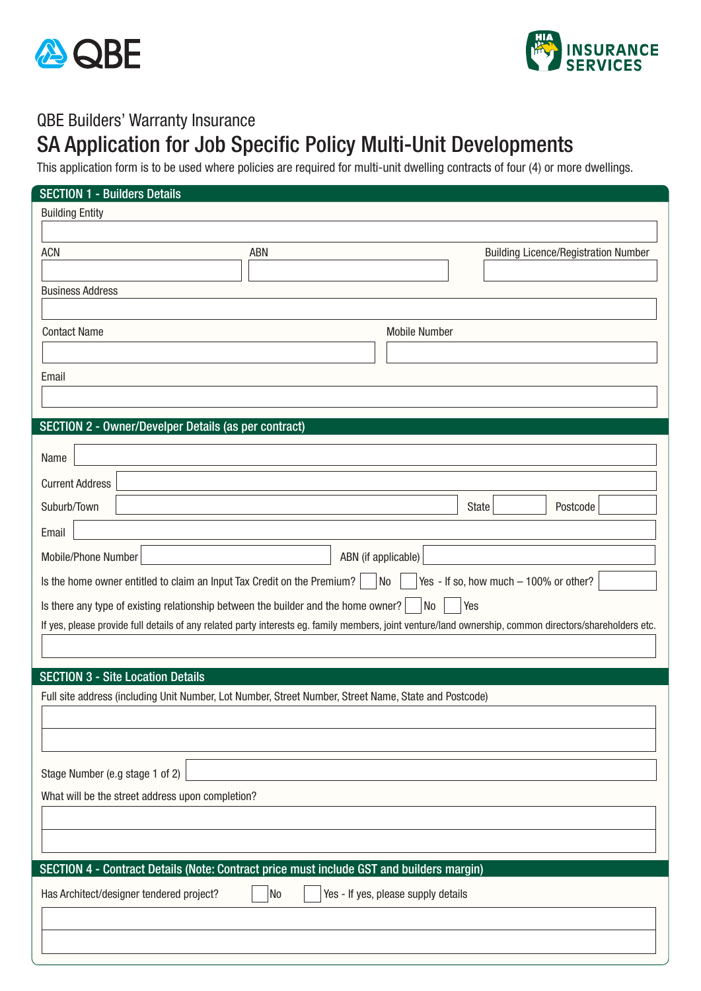



## QBE Builders' Warranty Insurance

## SA Application for Job Specific Policy Multi-Unit Developments

This application form is to be used where policies are required for multi-unit dwelling contracts of four (4) or more dwellings.

| <b>SECTION 1 - Builders Details</b>                                                                                                                     |                                             |  |  |  |  |  |
|---------------------------------------------------------------------------------------------------------------------------------------------------------|---------------------------------------------|--|--|--|--|--|
| <b>Building Entity</b>                                                                                                                                  |                                             |  |  |  |  |  |
|                                                                                                                                                         |                                             |  |  |  |  |  |
| <b>ACN</b><br>ABN                                                                                                                                       | <b>Building Licence/Registration Number</b> |  |  |  |  |  |
|                                                                                                                                                         |                                             |  |  |  |  |  |
| <b>Business Address</b>                                                                                                                                 |                                             |  |  |  |  |  |
|                                                                                                                                                         |                                             |  |  |  |  |  |
| <b>Contact Name</b><br><b>Mobile Number</b>                                                                                                             |                                             |  |  |  |  |  |
|                                                                                                                                                         |                                             |  |  |  |  |  |
| Email                                                                                                                                                   |                                             |  |  |  |  |  |
|                                                                                                                                                         |                                             |  |  |  |  |  |
| SECTION 2 - Owner/Develper Details (as per contract)                                                                                                    |                                             |  |  |  |  |  |
| Name                                                                                                                                                    |                                             |  |  |  |  |  |
|                                                                                                                                                         |                                             |  |  |  |  |  |
| <b>Current Address</b>                                                                                                                                  |                                             |  |  |  |  |  |
| Suburb/Town                                                                                                                                             | Postcode<br>State                           |  |  |  |  |  |
| Email                                                                                                                                                   |                                             |  |  |  |  |  |
| Mobile/Phone Number<br>ABN (if applicable)                                                                                                              |                                             |  |  |  |  |  |
| Yes - If so, how much - 100% or other?<br>Is the home owner entitled to claim an Input Tax Credit on the Premium?<br>No                                 |                                             |  |  |  |  |  |
| No<br>Is there any type of existing relationship between the builder and the home owner?<br>Yes                                                         |                                             |  |  |  |  |  |
| If yes, please provide full details of any related party interests eg. family members, joint venture/land ownership, common directors/shareholders etc. |                                             |  |  |  |  |  |
|                                                                                                                                                         |                                             |  |  |  |  |  |
|                                                                                                                                                         |                                             |  |  |  |  |  |
| <b>SECTION 3 - Site Location Details</b><br>Full site address (including Unit Number, Lot Number, Street Number, Street Name, State and Postcode)       |                                             |  |  |  |  |  |
|                                                                                                                                                         |                                             |  |  |  |  |  |
|                                                                                                                                                         |                                             |  |  |  |  |  |
|                                                                                                                                                         |                                             |  |  |  |  |  |
| Stage Number (e.g stage 1 of 2)                                                                                                                         |                                             |  |  |  |  |  |
| What will be the street address upon completion?                                                                                                        |                                             |  |  |  |  |  |
|                                                                                                                                                         |                                             |  |  |  |  |  |
|                                                                                                                                                         |                                             |  |  |  |  |  |
|                                                                                                                                                         |                                             |  |  |  |  |  |
| SECTION 4 - Contract Details (Note: Contract price must include GST and builders margin)                                                                |                                             |  |  |  |  |  |
| No<br>Yes - If yes, please supply details<br>Has Architect/designer tendered project?                                                                   |                                             |  |  |  |  |  |
|                                                                                                                                                         |                                             |  |  |  |  |  |
|                                                                                                                                                         |                                             |  |  |  |  |  |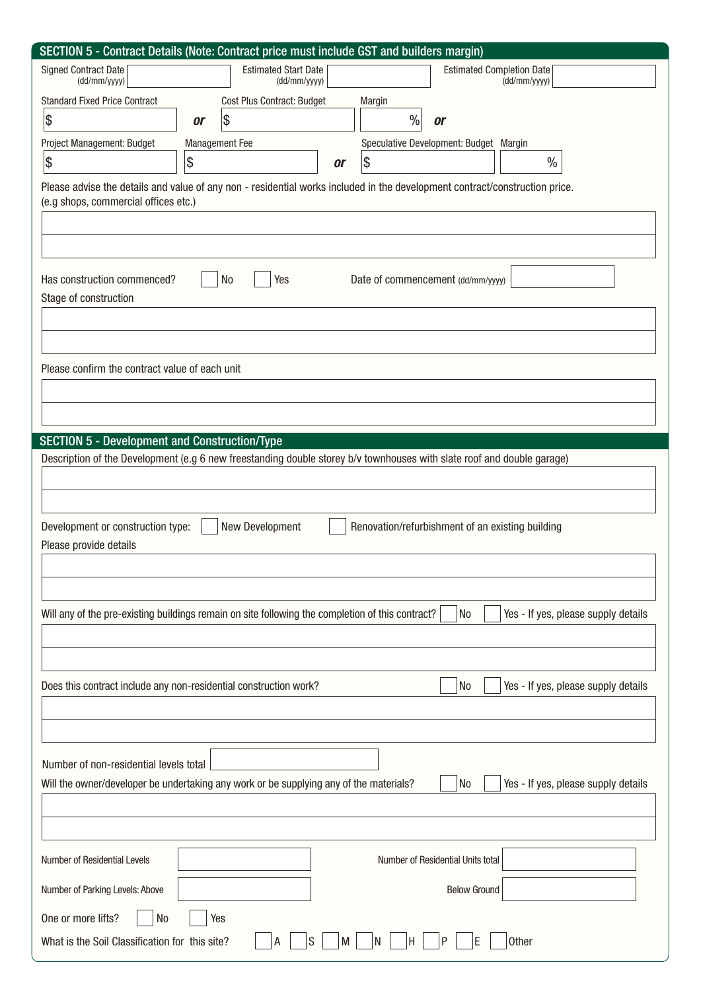|                                                                                                  |                       |                             |    | SECTION 5 - Contract Details (Note: Contract price must include GST and builders margin)                                    |
|--------------------------------------------------------------------------------------------------|-----------------------|-----------------------------|----|-----------------------------------------------------------------------------------------------------------------------------|
| <b>Signed Contract Date</b>                                                                      |                       | <b>Estimated Start Date</b> |    | <b>Estimated Completion Date</b>                                                                                            |
| (dd/mm/yyyy)                                                                                     |                       | (dd/mm/yyyy)                |    | (dd/mm/yyyy)                                                                                                                |
| <b>Standard Fixed Price Contract</b>                                                             |                       | Cost Plus Contract: Budget  |    | Margin                                                                                                                      |
| \$                                                                                               | <b>or</b>             | $\vert \mathcal{E} \vert$   |    | $\%$<br>or                                                                                                                  |
| Project Management: Budget                                                                       | <b>Management Fee</b> |                             |    | Speculative Development: Budget Margin                                                                                      |
| $ \boldsymbol{\$}$                                                                               | $ \boldsymbol{\$}$    |                             | or | \$<br>$\%$                                                                                                                  |
|                                                                                                  |                       |                             |    | Please advise the details and value of any non - residential works included in the development contract/construction price. |
| (e.g shops, commercial offices etc.)                                                             |                       |                             |    |                                                                                                                             |
|                                                                                                  |                       |                             |    |                                                                                                                             |
|                                                                                                  |                       |                             |    |                                                                                                                             |
|                                                                                                  |                       |                             |    |                                                                                                                             |
| Has construction commenced?                                                                      |                       | N <sub>0</sub><br>Yes       |    | Date of commencement (dd/mm/yyyy)                                                                                           |
| Stage of construction                                                                            |                       |                             |    |                                                                                                                             |
|                                                                                                  |                       |                             |    |                                                                                                                             |
|                                                                                                  |                       |                             |    |                                                                                                                             |
|                                                                                                  |                       |                             |    |                                                                                                                             |
| Please confirm the contract value of each unit                                                   |                       |                             |    |                                                                                                                             |
|                                                                                                  |                       |                             |    |                                                                                                                             |
|                                                                                                  |                       |                             |    |                                                                                                                             |
|                                                                                                  |                       |                             |    |                                                                                                                             |
| <b>SECTION 5 - Development and Construction/Type</b>                                             |                       |                             |    |                                                                                                                             |
|                                                                                                  |                       |                             |    | Description of the Development (e.g 6 new freestanding double storey b/v townhouses with slate roof and double garage)      |
|                                                                                                  |                       |                             |    |                                                                                                                             |
|                                                                                                  |                       |                             |    |                                                                                                                             |
| Development or construction type:                                                                |                       | New Development             |    | Renovation/refurbishment of an existing building                                                                            |
| Please provide details                                                                           |                       |                             |    |                                                                                                                             |
|                                                                                                  |                       |                             |    |                                                                                                                             |
|                                                                                                  |                       |                             |    |                                                                                                                             |
|                                                                                                  |                       |                             |    |                                                                                                                             |
| Will any of the pre-existing buildings remain on site following the completion of this contract? |                       |                             |    | Yes - If yes, please supply details<br>No                                                                                   |
|                                                                                                  |                       |                             |    |                                                                                                                             |
|                                                                                                  |                       |                             |    |                                                                                                                             |
|                                                                                                  |                       |                             |    |                                                                                                                             |
| Does this contract include any non-residential construction work?                                |                       |                             |    | Yes - If yes, please supply details<br>No                                                                                   |
|                                                                                                  |                       |                             |    |                                                                                                                             |
|                                                                                                  |                       |                             |    |                                                                                                                             |
|                                                                                                  |                       |                             |    |                                                                                                                             |
| Number of non-residential levels total                                                           |                       |                             |    |                                                                                                                             |
| Will the owner/developer be undertaking any work or be supplying any of the materials?           |                       |                             |    | Yes - If yes, please supply details<br>No                                                                                   |
|                                                                                                  |                       |                             |    |                                                                                                                             |
|                                                                                                  |                       |                             |    |                                                                                                                             |
|                                                                                                  |                       |                             |    |                                                                                                                             |
| Number of Residential Levels                                                                     |                       |                             |    | Number of Residential Units total                                                                                           |
| Number of Parking Levels: Above                                                                  |                       |                             |    | <b>Below Ground</b>                                                                                                         |
|                                                                                                  |                       |                             |    |                                                                                                                             |
| N <sub>0</sub><br>One or more lifts?                                                             | Yes                   |                             |    |                                                                                                                             |
| What is the Soil Classification for this site?                                                   |                       | S<br>А                      | M  | P<br>Other<br>F<br>IN.<br>н                                                                                                 |
|                                                                                                  |                       |                             |    |                                                                                                                             |